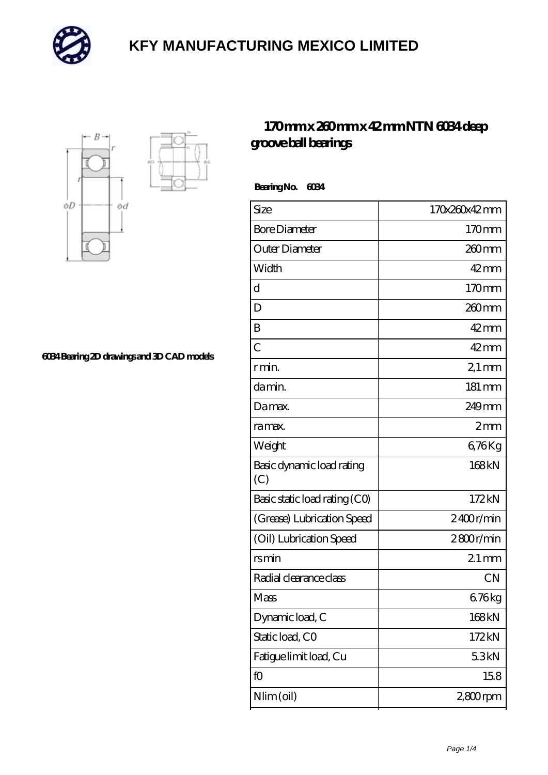



**[6034 Bearing 2D drawings and 3D CAD models](https://mailemotion.tv/pic-412927.html)**

#### **[170 mm x 260 mm x 42 mm NTN 6034 deep](https://mailemotion.tv/aw-412927-ntn-6034-deep-groove-ball-bearings.html) [groove ball bearings](https://mailemotion.tv/aw-412927-ntn-6034-deep-groove-ball-bearings.html)**

 **Bearing No. 6034**

| Size                             | 170x260x42mm        |
|----------------------------------|---------------------|
| <b>Bore Diameter</b>             | 170mm               |
| Outer Diameter                   | $260$ mm            |
| Width                            | $42$ mm             |
| d                                | 170mm               |
| D                                | 260mm               |
| B                                | $42$ mm             |
| $\overline{C}$                   | $42$ mm             |
| r min.                           | $21 \,\mathrm{mm}$  |
| damin.                           | $181 \,\mathrm{mm}$ |
| Damax.                           | 249 <sub>mm</sub>   |
| ra max.                          | 2mm                 |
| Weight                           | 676Kg               |
| Basic dynamic load rating<br>(C) | 168kN               |
| Basic static load rating (CO)    | 172kN               |
| (Grease) Lubrication Speed       | 2400r/min           |
| (Oil) Lubrication Speed          | 2800r/min           |
| rsmin                            | $21 \,\mathrm{mm}$  |
| Radial clearance class           | <b>CN</b>           |
| Mass                             | 676kg               |
| Dynamic load, C                  | 168kN               |
| Static load, CO                  | 172kN               |
| Fatigue limit load, Cu           | 53kN                |
| fO                               | 158                 |
| Nlim (oil)                       | 2,800rpm            |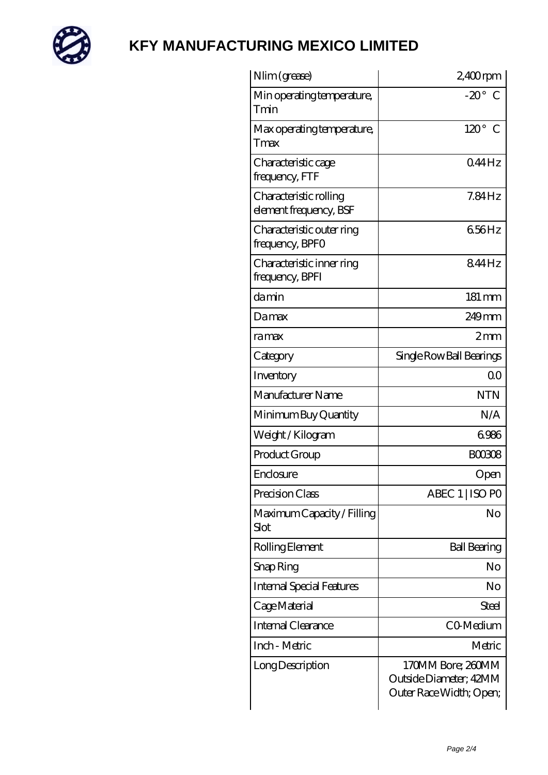

| Nlim (grease)                                    | $2,400$ rpm                                                            |
|--------------------------------------------------|------------------------------------------------------------------------|
| Min operating temperature,<br>Tmin               | $-20^\circ$ C                                                          |
| Max operating temperature,<br>Tmax               | $120^\circ$<br>C                                                       |
| Characteristic cage<br>frequency, FTF            | 044Hz                                                                  |
| Characteristic rolling<br>element frequency, BSF | $7.84$ Hz                                                              |
| Characteristic outer ring<br>frequency, BPFO     | 656Hz                                                                  |
| Characteristic inner ring<br>frequency, BPFI     | 844Hz                                                                  |
| damin                                            | 181 mm                                                                 |
| Damax                                            | $249$ mm                                                               |
| ramax                                            | 2mm                                                                    |
| Category                                         | Single Row Ball Bearings                                               |
| Inventory                                        | 0 <sup>0</sup>                                                         |
| Manufacturer Name                                | <b>NTN</b>                                                             |
| Minimum Buy Quantity                             | N/A                                                                    |
| Weight / Kilogram                                | 6986                                                                   |
| Product Group                                    | <b>BOO3O8</b>                                                          |
| Enclosure                                        | Open                                                                   |
| Precision Class                                  | ABEC 1   ISO PO                                                        |
| Maximum Capacity / Filling<br>Slot               | No                                                                     |
| Rolling Element                                  | <b>Ball Bearing</b>                                                    |
| Snap Ring                                        | No                                                                     |
| <b>Internal Special Features</b>                 | No                                                                     |
| Cage Material                                    | Steel                                                                  |
| <b>Internal Clearance</b>                        | CO-Medium                                                              |
| Inch - Metric                                    | Metric                                                                 |
| Long Description                                 | 170MM Bore; 280MM<br>Outside Diameter; 42MM<br>Outer Race Width; Open; |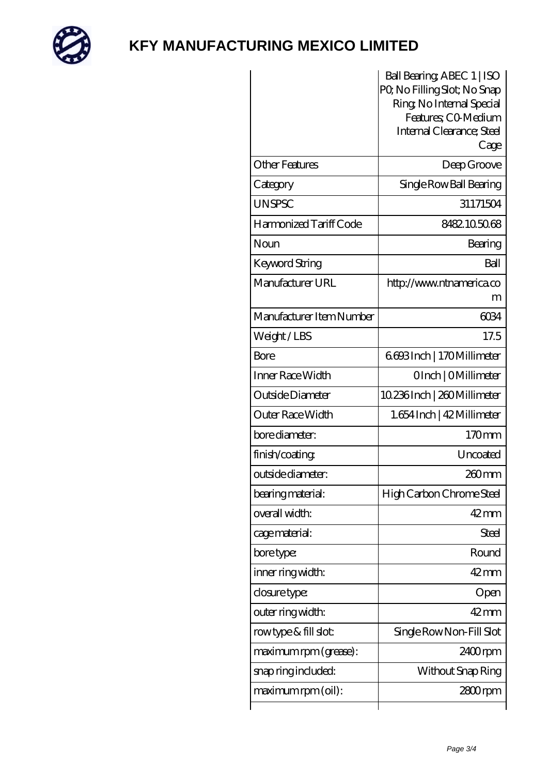

|                          | Ball Bearing, ABEC 1   ISO                               |
|--------------------------|----------------------------------------------------------|
|                          | PQ No Filling Slot; No Snap<br>Ring, No Internal Special |
|                          | Features; CO-Medium                                      |
|                          | Internal Clearance; Steel                                |
|                          | Cage                                                     |
| <b>Other Features</b>    | Deep Groove                                              |
| Category                 | Single Row Ball Bearing                                  |
| <b>UNSPSC</b>            | 31171504                                                 |
| Harmonized Tariff Code   | 8482105068                                               |
| Noun                     | Bearing                                                  |
| Keyword String           | Ball                                                     |
| Manufacturer URL         | http://www.ntnamerica.co                                 |
|                          | m                                                        |
| Manufacturer Item Number | 6034                                                     |
| Weight/LBS               | 17.5                                                     |
| Bore                     | 6693Inch   170Millimeter                                 |
| Inner Race Width         | OInch   OMillimeter                                      |
| Outside Diameter         | 10.236Inch   260Millimeter                               |
| Outer Race Width         | 1.654 Inch   42 Millimeter                               |
| bore diameter:           | 170mm                                                    |
| finish/coating           | Uncoated                                                 |
| outside diameter:        | 260mm                                                    |
| bearing material:        | High Carbon Chrome Steel                                 |
| overall width:           | $42$ mm                                                  |
| cage material:           | <b>Steel</b>                                             |
| bore type:               | Round                                                    |
| inner ring width:        | 42mm                                                     |
| closure type:            | Open                                                     |
| outer ring width:        | $42 \text{mm}$                                           |
| rowtype & fill slot:     | Single Row Non-Fill Slot                                 |
| maximum rpm (grease):    | 2400rpm                                                  |
| snap ring included:      | Without Snap Ring                                        |
| maximum rpm (oil):       | 2800rpm                                                  |
|                          |                                                          |